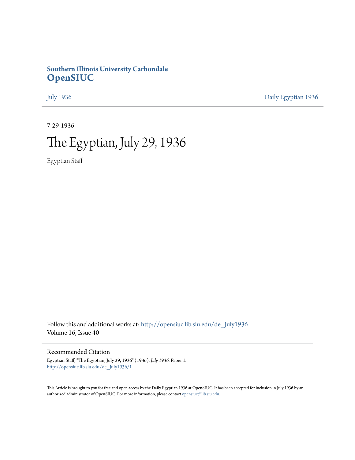## **Southern Illinois University Carbondale [OpenSIUC](http://opensiuc.lib.siu.edu?utm_source=opensiuc.lib.siu.edu%2Fde_July1936%2F1&utm_medium=PDF&utm_campaign=PDFCoverPages)**

[July 1936](http://opensiuc.lib.siu.edu/de_July1936?utm_source=opensiuc.lib.siu.edu%2Fde_July1936%2F1&utm_medium=PDF&utm_campaign=PDFCoverPages) [Daily Egyptian 1936](http://opensiuc.lib.siu.edu/de_1936?utm_source=opensiuc.lib.siu.edu%2Fde_July1936%2F1&utm_medium=PDF&utm_campaign=PDFCoverPages)

7-29-1936

# The Egyptian, July 29, 1936

Egyptian Staff

Follow this and additional works at: [http://opensiuc.lib.siu.edu/de\\_July1936](http://opensiuc.lib.siu.edu/de_July1936?utm_source=opensiuc.lib.siu.edu%2Fde_July1936%2F1&utm_medium=PDF&utm_campaign=PDFCoverPages) Volume 16, Issue 40

## Recommended Citation

Egyptian Staff, "The Egyptian, July 29, 1936" (1936). *July 1936.* Paper 1. [http://opensiuc.lib.siu.edu/de\\_July1936/1](http://opensiuc.lib.siu.edu/de_July1936/1?utm_source=opensiuc.lib.siu.edu%2Fde_July1936%2F1&utm_medium=PDF&utm_campaign=PDFCoverPages)

This Article is brought to you for free and open access by the Daily Egyptian 1936 at OpenSIUC. It has been accepted for inclusion in July 1936 by an authorized administrator of OpenSIUC. For more information, please contact [opensiuc@lib.siu.edu](mailto:opensiuc@lib.siu.edu).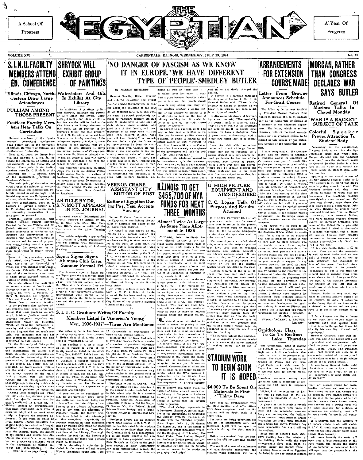

S. I. N. U. FACULTY **SHRYOCK WILL MEMBERS ATTEND EXHIBIT GROUP ED. CONFERENCE** OF PAINTINGS

western Draw Large Attendances

VOI IMP VVI

**PULLIAM AMONG** THOSE PRESENT

## **Fourteen Faculty Mem**bers Hear Talks On

Then a.C. Length Division and the state when hit Shrowk pairds when scale are a state of the interaction of the state of Shrowk in the state of Shrowk in the state of the state of the state of the state of the state of th

objective tests can measure the ma-hi-cone afte of Miss Mary Crawford<br>
is trials learned in college with Frod, and Jonesborn.<br>
In the straight and the street of the street of the street of the street within learned in Sur

N ED. JOURNAL<br>
The measurement matrice, mass a research of the particle. The state of "Euckle and Havan Havan and Property and the state of "Particle by Pr. 1. The Egyptian, is now holding the po-<br>
Transcending and the co

kome of the, curricularly experts<br>the curricular properties of the University of Frod. Ayres of the University of<br>Trans, and Prof. Brunner from Testar-<br>experts curricularly the curricular current properties of the confere

spects or grade tevels.<br>Those who attended the conference Those who attended the conference<br>on survey courses at Northwestern<br>Thivestiy were S E. Boomer, F. G. Warren, Dr. Vera L. Peacock, Dr.<br>Mary' M. Steagaill, Dr. Russell M.<br>New Model and President Roscop<sup>6</sup> Pullian,<br>These fac ege students here, came to the p clusion that those problems are uniclusion that those proposeds ...<br>- Areal, President Pullian: issued the<br>- Arealing the following statement regarding the While we found the conferences in While we found the conferenges in-<br>seesting and stimulating, Mr. War-<br>eri and I agreed that not much ma-<br>erial was presented that has not<br>neon thoroughly considered and well<br>inderstood on this catapua.

At the University of Chicago the destion under discussion was tests examinations for college stut eacticularly commentancies ar determining the de ons for determining the de-which the student's education<br>courses has really becu as<br>id. At Northwestern Univerthe subject under consideration the subject under consideration class of 1332, received my Massey's of the Taugust energy consider a finite matrix in the major at thinks in 1333, and am now com-<br>a strict is the subject of study. Both this is the subject was survey constraint in the major<br>field of study. Both the survey<br>currece and the complementies ex-<br>minimitions are derivers by which col-<br>location conditional problems of education.<br>"Among these problems or colling to th student an overspecialized explointed, crazy-patch quilt type of<br>education which did not work effec. water and not work effect-<br>for the student's ad-<br>for the world in which he<br>cond, college education has<br>ighly formalized and largely  $of$  this ily formalized and largely<br>the workaday world be

his real purpose as a student,



An exhibition of paintings by Bur nett Shryock, featuring the portrait of Allee Albon and several water-.<br>colors of local scenes dane within the last few months, will be held at the City Library on Friday atternoon of **Ders Hear Talks On** (the best and in particular the president case of their citerial cases.<br> **Curriculum** (the section of the president important of all obey rules. "If you care of their health, and most strep of the fact orthwestern University. and several portraits of Chicago per-<br>Dean E. G. Lentz. Dr. Bruce Mer- sons whom Mr. Shryock painted when

February Consigns. The main point of the subject for these types in including to the main point of a discussion can. Insert places of interest, including  $VERNON CRANE$ <br>treed around the question of whether the region around Che

The diumons chapter of Sigma Sig-1, estimate and<br>present and Sigma gave the basis from Sigma Sigma gave the basis from<br>at dealer mediately relevanced bis accountage of the school term in<br>at Friday bight, and resultion are

## S. I. T. C. Graduate Writes Of Faculty Members Listed In 'America's Young Men, 1936-1937'-Three Are Mentioned

The following letter has been re-137. Carbondale is represented by<br>colved by the Egyptian from Clarence three of the College faculty.<br>L. Hodge, chass of 1932, who is now "Fleating the Hsr from Carbondale<br>living in Washing

If the method on the other is a bit of the resident Rosco Pollian, member<br>
If the B in Washington, D. C.:<br>
It are setting in Washington, D. C.:<br>
It are setting in the of the all acceleries, including Phi Delta Kap-<br>
It is azine articles in the general field of<br>education. Incidentally, his favorite

[versity here in Washington, writing Fectention is fainting.<br>  $\int \ln y \, dy$  subsertation on "The Tennessee" "Professor Willis C. Swartz, Head<br>
Yalley Authority: An Experiment in of the Political Science Dopartment.<br>
"I have w luce for the "Espytian" since teawing of the American roution scheches As-<br> $\mu$ <sup>16</sup> the first the lands the set of the set of the set of the set of the first the set of the set of the set of the set of the set of the set Conversity Professors, Phi Bet Kappa.<br>
Pl. Gamma Mu, the National Bocial<br>
Science Honor Society, and a former<br>
Carnegie Fellow in International Law,<br>
1927-28.

bers have failed to take advantage<br>of this exceptional opportunity to "Professor Swartz has an record since coming to S. I. T. C., if<br>that he has inculcated in his student continue research in their respective me highly tormalized and kergely (red by matter spontantion for local tlut he late included in his students and his flucture in the file and his flucture in the file and his flucture in the students of the control in the tields by making application for loans

CARRONDALE ILLINOIS, WEDNESDAY, JHLY 29, 1936 'NO DANGER OF FASCISM AS WE KNOW

ILLINOIS TO GFT

\$455,700 OF NYA

**FUNDS FOR NEXT** THREE MONTHS

Almost Twice As Large As Same Time Allotment In  $1935$ 

filst heaun.

 $n^2$  and  $n^2$ 

employed

alama.

a tur it...<br>Tilta new

inated with the following of<br>fone: Rappa Delta Pi, Pi<br>Ju, Sigma Xi, and is the au<br>number of works including:

ver, will not effect those youths all<br>•ady at work or those on projects<br>perated under the student aid pro

on the various

Director

IT IN EUROPE. WE HAVE DIFFERENT TYPE OF PEOPLE'-SMEDLEY BUTLER

By MARIAN RICHARDS General Smedley Butler, dynamic nd colorful ex-soldier and arden soulflet anough the interview by sele nacitist opened the miserial of the vote indice it very strong man say ....<br>Ing about the out-come of the vote and sanction sending a soldier outon the proposal **R**  $\theta$   $\mathcal{R}$   $\phi$  unit have

He wasn't be stated, particularly op-<br>posed to voluntary military training closer, leaned over, waggled his forescasive tone of voice of a debater

ASSISTANT CITY

**EDITOR OF POST** 

might as well let them have it if eral Butler had deftly changed the it makes them feel safer. It won't subject nopect.<br>In answer to a question regarding hart anyone because thesoldiers don't in answer to a question reservaget us into war, but people should Concret Bufler said "There is ab. name is the present to the said, "There is ablance it will be will be will be the said. "There is a method in a same of the same of the same of the same of the country to protect it. It creates the political state of the c side of the country to protect it. It

is all right to back no the tree at In discussing his theory of prevent Fix weat 1 is stated, particle, are of  $\beta$  is right. to bark, up the tree at 1 in discussions in the particle properties. The method of properties of the contract point of the particle of the contract of the contract of a scueral he becau to search for the is our own damn fault if it doesn' ectual causes of war. "Previous to work. getual causes of war. "Previous to work.<br>that time I was neither a pacifist or Here the visit with the real and the state of the real of the real of the real of the real of the real of the real of the real state of the rea **Sectional** 

nois of the government and took the ord-<br>putter may not be applied to be and the may not be

U. HIGH PICTURE

**EQUIPMENT AND** AIMS DESRIBED C. C. Logan Tells Of<br>Purpose And Results Attained

C. C. Logan, University High School:<br>supervisory teacher, has for several years been interested in the presen-<br>starts been interested in the presen-<br>tation of school work by means of<br>flims. In the following paragraphs. describes the sponstatue and reof accessive car .<br>Ofte attained here

"For several years so ids, targely of film strip or picture is bel have been used in teaching geography and biology. Altogeth-W Henry contains about 150 turnis of thirty to fifty pictures each<br>Pictures are usually previewed by a endem ur two and the practice<br>lenther before exhibiting to the class "Moving pictures of the 16 M. M. of functions in stent type have heen used weekly

ful and interesting.<br>
traditional subject<br>
mus Teaching films<br>
best we have had. captions appear on the film rather accompanied by syllabus or synopsis to be read while showing Papers written by minus e arx, ar. campoon<br>e new age limit, how-<br>effect those youths al-

rean."<br>The state director indicated he intended to stress the placing of boys and girls on profects that will give and gives on projects that will give<br>the analysis of the specifical conduction of the specific state of<br>the specific state of the specific state of the specific to follow the<br>variable their lives. A further proposed to fo

a embloyment possibilities and re quirements in the trades and profes **STADIUM WORK** will be broadened under the

> \$4,000 To Be Spent On Materials In First Thirty Days

government. Now that all arrangements with

Now that all arrangements with *E*. Commute (consider the blueprints reveal (maining rooms, tiree locker rooms, the locker rooms, the state architect and WPA offices a S1-foot attactore with wells of  $|v_0|$  mode availabl (9 Professor Thomas F. Barron, mean-<br>ber of the Department of Geography<br>and declogy. Professor Barton is at-<br>dilated with the following organiza-<br>tions: Kappa Delta Pi, Pi Gemmon<br>where

**ARRANGEMENTS MORGAN, RATHER FOR EXTENSION THAN CONGRESS COURSE MADE! DECLARES WAR SAYS BUTLER** etter From Browne Announces Schedule

For Grad. Course

The following letter was received

.<br>President Boscoe Pulliam from

Robert B. Browne, S. I. N. U. graduate

non at the Thiuannity of Tilling as

member of the education depart

ment. The letter, which is self-ex-

nium in the series, where the control.<br>Clumatory, tells of the final arrange. .<br>ments for the graduate course to be

flered at this college by the Exten

ton Service of the University of Ull

.<br>''I have completed all the arrange

ime. The course offered the

obtain more complete informa-

of University Extension, 199<br>y Hall. I am preparing some<br>for the University Press<br>announcement of our extra

Lake Thursday

Ornithology class is leaving

send yo I receive them from

possible.<br>Dossible.

ivision of University Extension, 199

ke anne

 $N_A = 40$ 

Retired General Of<br>Marines Talks In<br>Chapel Mondáy

WAR IS A RACKET'<br>SUBJECT OF TALK

Colorful Speaker<br>Proves Attraction To Student Body

According to the constitution,<br>Congress declares war, but the Nye<br>Committee found that wasn't true,<br>Morgan declared war, and Congress<br>says 'yes'," was the statement made<br>by General Smedley Butler in a fec-There completed all the strange-<br>norms, and we expect to announce<br>> graduate course in education at<br>Carbondale next year. I should like<br>o give you the opportunity of making ture entitled "Wer is a racket" uncement there at the same livered before the student body. Manfirst

thus. The course offreed the first; livered before the student body, Montinear, the course of the studies of the studies of the studies of the studies of the studies of the studies of the studies of the studies of the stu will be tanglet by Oscar F. Weber,  $^{(1)}$ The solidary is were in the world war didn't syncologie professor of education and  $^{(1)}$  Solution solidars said they were in the sear. The summary transmit is determined the class

sity of librois. If the offoring proves income and over one from the Hundrich contraction, the University capacites in the contraction of the contraction of the contraction of the second  $\sqrt{W}$  excelled the because Morga trud to pay him."<br>"A few rich decide there is to be

 $A$  few<br> $\frac{1}{x}$ A tew rich decide there is to be<br> $\sin \theta$  and General Butler and we are<br> $\sin \theta$  and General Butler and we are<br>nucle to believe that an oil well is the poorer, "sucker" class tion by writing to the Director of the propaganda put out in war time the General told of running away from nome when a lad of 16 to go to Cuba nome when a nat of its to go to cuons<br>cuol fight in the Spanish American<br>war because ho was told that he<br>should protect his home which was in

ennsylvania.<br>General Butler is very much op-<br>the enidiers outside of the country. He says, "I such the country. He says, "I subscribe<br>the country. He says, "I subscribe<br>of the theory that all we have to do<br>is defend our homes and we don't come on an analysis and we don't

"I favor keeping our flag. The servest of the servest of the servest of the servest of the servest of the serves of the serves of the serves of the serves of the serves of the serves of the serves of serves of serves and serves of serves and serves eting arms to Europe by I it can let<br>bin fly his own flag of skull and<br>cross-bones."<br>However Congress does still de-

However Congress does still de-<br>the president and it the poople swill elect<br>a president and congressmen who<br>says General Butler. The President alone could prevent war since be is cold refuse to order a since isto insure to cross a cropp.<br>Intelle of the Tinited States

outside of the United States<br>In roncluding General Butler suid,<br>"Patriotism to me is love of home<br>rot love of Wall Street, or an oli<br>well somewhere, or some public utflity empany.

space are storage rooms for soate<br>hurdles, uniforms, and seat cushions<br>Rest rooms for men and women will<br>be provided. Two coach's rooms wil  $-0.01$ he included in the plans while two training rooms, three locker rooms

form for the early indoor moots much<br>come than formerly.<br>All rooms beneath the seats will<br>open onto a long promenade at the<br>back which will extend the length



sions, will be broadened under the<br>stup for the new year, it was an-<br>numeed, Concentration of effect also<br>will be hunde on the junior placement<br>service, which the NYA operates in<br>conjunction with the NYA operates in<br>Employ

find employment in orivate industry tou to receive this week. From the tew to receive this urge! From<br>number of books slupped yearly fr<br>the Library of Congress to Protes<br>Swartz, I think I would not be wartz, I tlilak I would not be far<br>Foug in saying that his favorite holdy is reading.<br>"The third College representative"<br>is Professor Thomas F. Barton, mem

ac soccess.<br>Seats will be reached from stair. Work.<br>
Easternations received from the busi-<br>  $\left|\begin{array}{cc} \cos x \\ \cos x \end{array}\right|$  as starting from the busi-<br>
near a starting from the interior of . All rooms be<br>reach the seate will be seen to be a starting from the business of la

n aterial for the Univer<br>Eaking announcement of<br>mural courses, and I wil<br>copies when I recoive the printer. I already have requests for uroliment from eighteen southern llinois school men. I regard this as so important development in ter pretty clearly that students net ideas ers' training in southern lilinois and

pectry cherr) that students get ideas (ere treining in southern Hinols, a samewhat more question to about should the to see that you receive that it is also present than the performance of the studies (the more transfer in Cordially yours,<br>
(Signed) "ROBERT B. BROWNE"<br>
Director"

one for teaching.<br>
"The purpose belied this undertak-<br>
log is to sequaint graduating teach-<br>
lers with some of the newer mediods<br>
of teaching before they go out to

n. et of an expression of the<br>curve county in the state was contributed in the time was program, it is the inframe<br>in this program, it is the inframe from the line of<br> $150$  to 15 years of the musician are<br>at which young m and they too have proven l'interest h nterial com ne employee on the environment.<br>manity development, rural developent, public service and research<br>culects of the NYA." Mr. Campbell

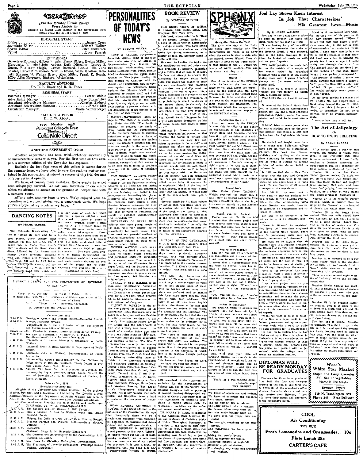

Page 2

Entered as second class matter in the Carbondaie Post Office under the Act of March 3, 1879.

#### **EDITORIAL STAFF**

Editor ..........<br>Associate Editor . . . . . . . . . . . . . . . . . . . Jasper Cross. .<br>Nildred Walker nuate Editor<br>
The Fulkerson<br>
The Fulkerson<br>
The Farmer Parties<br>
The Contract Parties<br>
The Parties<br>
The Parties<br>
The Parties<br>
The Parties<br>
The Parties<br>
The Parties<br>
The Parties<br>
The Parties<br>
The Parties<br>
The Parties<br>
The Pa

Freedom Breadway (Br. 1987)<br>
The Construction Construction of the Marguerity W. Jean (John Construction Construction Construction Construction Supplem, Eline Breadway Failly, Annibe Branard, Lowesh Supplem, Hernard, Lowesh network of the Marian School and Theory and The Mille Mary Alice Hargrave, Richard Wittenborn.

FACULTY ADVISORS<br>Dr. R. L. Beyer and R. D. Faner

**BUSINESS STAFF**  $\begin{tabular}{l|c|c|c} \textbf{Business Manager} & \textbf{1501} & \textbf{163} & \textbf{163} & \textbf{163} & \textbf{163} \\ \textbf{B} & \textbf{163} & \textbf{263} & \textbf{263} & \textbf{263} & \textbf{265} & \textbf{266} & \textbf{266} & \textbf{266} \\ \textbf{A} & \textbf{A} & \textbf{B} & \textbf{B} & \textbf{B} & \textbf{B} & \textbf{B} & \textbf{B} & \textbf{B} & \textbf{B} & \textbf{$ 

| <b>FACULTY ADVISOR</b><br>Dr. T. W. Abbott                               |  |
|--------------------------------------------------------------------------|--|
| 1935 Member 1936<br><b>Associated Collegiate Press</b><br>Distributor of |  |

## Collegiate Digest **CHAIR**

#### ANOTHER EXPERIMENT OVER

Another experiment has been tried-whether successfully or unsuccessfully rests with you. For the first time on this campus, a summer edition of the Egyptian has appeared.

pass Realizing the fact that news of this college is scarce during<br>the summer term, we have tried to vary the reading matter contained in this publication. Again-the success of this trial depends on your personal opinion,

We have of course, made mistakes. Some events have not<br>been adequately covered. We ask your toleration of our errors which we attempt to excuse on the grounds of inexperience with a summer paper.

At any rate, another term is over. We've enjoyed your cooperation and epioyed giving you a paper each week. We hope you've enjoyed it as much as we have.



The Columbia Broadcasting Sys.  $^{16}$  to the large and consequences its results and for a live the large in the function of the live of the large speed (reason, Their Sunday in<br>the  $^{11}$  med. Early the large speed (reaso The Columbia Broadcasting Sys-

### October 3rd, 1936

exactable of the Creative Anthony Hall<br>of the University and women interested in the problem All gives of the Caiversity and women interested in the problem<br>of gives of the Caiversity and women interested in the problem<br>of strict, kay most and a function of the behavior of the Disparament of Public Welfare, and M All girls

- 
- 
- 11:30 A.M. Discussion
- Discussion,<br>Chairman, Judge L. M. Hancock-Harrisburg<br>The Community's Responsibility to the Court-Judge J. E.<br>Plemine Balleville.  $1:30$  P.M.
- $2.15$  PM
- Fleming, Belleville.<br>Now Laws for Old-Guy McGaughey. Lawrenceville.<br>The Treatment of Javentic Delinqueurs--President Roscoe<br>Palliam, Carloondale.

## THE EGYPTIAN **PERSONALITIES** OF TODAY'S

**NEWS** By EVELYN MILLER

KENT E. KELLER. Congre in this district, came to the front

from this district, came to the front the two two front Representative Tom Blanton, the Ree-batting, witch-handing, teacher-handing witch-handing witch-handing benomently to demonstrate the public school system in Washingt charges of Communism and godiess charges of Communism and godess-<br>ness against the instructors. Keller<br>declared that Blantón "shall not be<br>permitted to turther buff and bull-<br>doze the teachers under the pretense<br>that his membership in this body gives him any right, power, or unth wity further to persecute them, with our denunciation of his pretension on the floor of this House."

the Hoor of this House."<br>
MALVEY, MAVERICK'S latest ar-<br>
Hote in "The Nation" is worth read-<br>
ing. Under the title "The South is<br>
Rishsg." he pictures the death of<br>
Ring Cotton and the unwillingness itsuing." are pictures the useful of King Cotton and the unwillingness<br>of the Southern farmers to cultivate<br>substitute crops. With a drain of<br>population, which takes the leaders<br>away, the Southern planters and ten-

ints are counter in the same trap-<br>inudiordism is the carse of the South<br>fandlordism is the carse of the South wever, is one in which the Northhowever, is one in which the NOTH-<br>counting lend assistance. Both have a<br>counting netery-"and that enemy is<br>to be seen not in terms of sectional<br>cleavage but in terms of economic nower

TOM MOONEY has sarred twenty TOM MOONEY has served twenty<br>years in jail as a result of his con-<br>viction in the San Francisco bombing<br>Leaders in all fields are not letting<br>the 20th anniversary pass unnoticed tut are declaring their belief in his nnocence and demanding his release<br>Mooney's case will come up before Mooney's case will come up before that<br>the Supreme Court within a year.<br>Sounder Wheeler expresses the view<br>that "Mooney was framed because, or<br>his labor activities in California. He<br>his should be partoned unconditionally<br>

ing."

believes that upon young people of<br>the land rests very largely the re-

(b) indicates rey largely the re- optimions of most voides estudents will<br>approachility for world peace. They is likely to fail atomoviewe between<br>states and the two viewpoints.<br>Settling international disputes rether<br> $\frac{1$ 

and demanded collective bargaining and demanded collective bargaining for newspaper men. Now, backed by<br>the signal of the Milwaukea Newspaper Guild, and the National Labor<br>Rehations Board, the unionized newspaper Guild and the Rehations Board, the unionized

mild reforms.<br>GERALD P. NYE, chantman of the CIENALD P. NYE, chantrado of the <sup>19</sup> not only a matter-where of verses blue<br>those investigating Committee but he has statised types of plays.<br>In anti-mode parameter of the control person of the fundation where many verse

tist who painted the painting for the<br>Emergency Peace Campaign, now engaged in a two-year nation-wide drive to solidify anti-war santimont in thi to solutiny anti-war sontinent in this count<br>counts? The painting shows vividy the function of the server with<br> $\mathbf{v} = \mathbf{w}$ , with a young man hound to the solution<br>mouth of a cantion. Below bign, with<br>wray and follie bo ware and follow on defit care<br>average and the definition of the painting is entitled "To the painting in<br>the method of the control of the control of the control of the interst<br>gradient of the Pederal Constant of the painti Tech, Columbia, Cornell, Dart

ieger Tech, Columbia, Coronyll, Dart Tech, Columbia, Coronyll, Dart Reichs, Marquette, M. J. T., North, vectern, Ohio State, Rutgers, Statenberg, Coronyll, Coronyll, Coronyll, Coronyll, Coronyll, Coronyll, Coronyll, Corony

pect.

LIN, president of the American As

Lifs, pressuent of the Advancement of Science and one of the world's most

eminent biologists, told a gathering

Notice: "Is it any worder that rad( $\sim$  07 essential hardcores) that the calibration and liberation have a hard entities at Cornell University that the capitation of a selective principal capitation of a selective princip ca."<br>
"BEAR ADMIRAL RICHMOND P.<br>
HOBSON is the latest addition to the<br>
sayiours of the Constitution. He says<br>
striver were<br>training there will be a world-wide challenge from Commun<br>  $\ln$ <br>  $\ln$ <br>  $\ln$ <br>  $\ln$ <br>  $\ln$ <br>  $\ln$ <br>  $\ln$ sacy," and he will save the day.<br>GEN. SMEDLEY D. BUTLER is

Fracty. And he will have the day. In aveve of the state of crift likes.<br>  $\frac{1}{12}$  and  $\frac{1}{12}$  and  $\frac{1}{12}$  and  $\frac{1}{12}$  and  $\frac{1}{12}$  and  $\frac{1}{12}$  and  $\frac{1}{12}$  and  $\frac{1}{12}$  and  $\frac{1}{12}$  are call for the

**BOOK REVIEW** By VIRGINIA SPILLER THE RIGHT THING by William Company, New York City.<br>Company, New York City.<br>Company, New York City.<br>This hook, whole the 19 "How Is the South Thing of the South City.<br>The box detection with the 19 "How Is the South City.<br>T

Scorestte, Shame On The girls who stay at the Delta house often wonder why The McCormick's lin rouge is so awry

quite orthodox.<br>However, he handles the topics un

Nowever, he handles the topics unit<br>der consideration well and rates car-<br>tain problems of honesty, obligation<br>and attrubent stat de bead to thought<br> $2\text{He}$  does not attempt to answer the<br>questions: he simply states both Regret of the SPHINX<br>a that he has not the time nor the space to tell ALL about the expedi-<br>space to tell ALL about the expedi-<br>dons on the redoubtable Mr. Loyd Since  $\frac{1}{2}$  and conclusions. The problems  $\frac{1}{2}$  and a state is the expective properties of the state of the state of the state of the state of the state of the state of the state of the state of the state of the s should see a child fail overboard. In<br>the azomus of the server in the server should be averaged the<br>the server should immediately by the suction of the water along the<br>lutil. Should the man dive overboard<br>and try to save particulars about the holdingins. Fundamental particulars about his escapades can

the EGYPTIAN office.

wite and tamily dependent on him

at home. Would that make a differ-

....<br>Stevens concludes his little volum

## Rendezvous On a HH

active one was the same of the same of the same of the same of the same of the same of the same of the same of the same of the same of the same of the same of the same of the same of the same of the same of the same of th ente?"<br>Although Mr. Stevens makes some<br>rather surprising statements, as that<br>"outside the works of writers like

Tavel Nois<br>
Niss Eloise ("New Tradition")<br>
Wright received, the other day, a<br>
long folder of colored post-cards from<br>
Harold (Play-Boy) Martin who is on<br>
his vacation. Harold is Jean Martin's Stevens concludes his fittle volume of by saying that "doubliess there will be readers who will fitte that many indicate the original of the original control of the original control of the set of the same state of the sam brother, but he can't help that.

Thank You. Mr. Barton! [urned to Illinois.<br>
The fact of the Peggy Proud in the Peggy Proton (and I Mr. Lay is as interested in his Prother SH is the Peggy Proton (and I Mr. Lay is as interested love-<br>  $\frac{1}{2}$  Prother st

vourseif.

Frances.<br>This one was told by a tencher in<br>this institution, and this spaced that it is spaced to<br> $\frac{1}{2}$  is a small to pose the space of the space to the<br>fit events that a school tencher died with the space of the space days were produced. Strangel<br>mough, both were morality play: One. Maxwell Auderson's "Winterset war produced in the regular theart the other, T. S. Eliot's "Murder in the Cathedral," was produced as a WP, Cathering and the physical conditions of the latter play dramatizes the number of Thomas A. Becket; Elist<br>
is not only a master-writter of verse of the state of the state of the state of plays<br>  $\frac{1}{2}$  =  $\frac{1}{2}$  =  $\frac$ 

.<br>Oh, was the siry reply, "they've all gone below for a Summer Term."

## --<br>And In Conclusion

lived in London where many verse is<br>plays are produced, and so bandles<br>(bis form much more capably, tech-<br>underly, than does Anderson. They<br>story is an old oue from English<br>battory; the them is the fact that<br>there are two The SPHINX wants to cappeas the<br>pleasure that has been all his in<br>pleasure that has been all his in<br>writing of your various miss-steps<br>and mainter-steps. . If you likes it-<br>I'm glad, and if you didn't like itriay emphasizes the fact that the two rlay emphasizes the fact that the te<br>are always in conflict; that the te<br>poral makes up the ordinary life<br>man, but that nevertheless, he co-<br>man, but that nevertheless, he For al makes up the ordinary life of  $\frac{1}{1000}$ <br>and, but that nevertheless, he can<br>not live without the spiritual which<br>gives him peace.<br>The verse is excellent and the<br>mork contains some of the heat<br>poetry that Elliot h Maybe next term 711 be more kind mannet basis with a fund set aside to you, In any case it's too late now by each congress for its understance of step of the conduction of the set of the set of the set of the set of the s laybe next term I'll he more kind cader who is interested in the nostrreader who is interested in the poetry<br>rather than in the plot will take most<br> $F^2$ casure in the charges, of which<br>the is an example, though perhaps<br>and the boat:<br>"We have not been happy, my Lord,<br>we are not been tends pa

YOUR STEP!<br>
And , with that, your little old<br>
SPHINX mggers that there's in the<br>
veighborhood of enough said. An re-<br>
voir and pleasant drama and all<br>
that sort of hoogy... And may you<br>
slavays be able to pull the wood ove what we must expect and not exthe eyes of your school board hack

> Yout's for a two-hundred dollar minimum wage

Monday. Students who are not here<br>hay receive their diplomas if they<br>will leave their names and addresses We know of oppression and torture We know of extertion and Destitution, disease

Franciscon, cassasse.<br>The child without traik in summer.<br>The child without milk in summer.<br>Our labour taken away from us.<br>Our sins made heavier upon us. N'e have<br>tilated, have seen the young man mu-

Little HARRY F. WARD is chairman<br>of the American Civil Liberties United<br>ton and professor of Christian Ethics ion and processor or correction are . it The torn girl trembling by the millstream

In Job That Characterizes

## His Greatest Love-Music

The looking for you" he called sense something in the alr-a kind<br>gaily as he descended the stairs at of comradeship that made my throat the Roberts Hotel. I was relieved tighten. I don't know exactly how to

start prior the floor blue a concerned and control and control of control of control of control of control of the would certainly never guess it of him though.

or any tanguan.<br>As for loves besides bis music and<br>Sch, I think Mr. Lay doesn't have a<br>great many beyend the joy of living.<br>"Don't you think I deserve a lot of<br>credit, or something for not being.<br> $BAx$ ried yet?" he grimmed ously.

usly.<br>I wonder how long it will last.

Nuclear the state of the state of the state method. He picks up a new girl at least, once each week. For further information on how he does it, ask

For Logic.<br>
Number 8A is not<br>
not point in the simplest manned Pulley. This is the simplest<br>
none of them all You' nevely drink a<br>
"coke" while standing at the bar<br>
conversing with someone.

There are also several night meth-

ods of "jellying" which can be cata-

normetica.<br>∂ra Logue.

locued thus

The Art of Jellvology

Least fail Mr. Leay work back to constant and a stress of wear cross of New York to play the baritons lead and extemporance<br>one harmonizing in a revival of "The Suident Prince". Number 2F is the Winton Parker<br>When the offe

a to primition and choronal and choronal and choronal the vent of the state of  $\hat{a}$  the conditional the choronal photon of the choronal photon of the condition of the condition of the condition of the condition of the c

complishments behind him. And

accomplishments behind him, And<br>he's still going strong."<br>"The music project was as you<br>know." he explained. "reated to em-<br>play will go the strong to the control of work<br> $\mu$  rehabilitate them in their chosen Number 2N the bashful boy methsummer 2N-the bashful boy meth-<br>rd. This is naually a group of airzons<br>but backward young men who park<br>in the entrance and watch the danc-<br>ers. profession, and to make the public atore music-conscious. And there has Number 5N is the Frances Patter-<br>50n method. This is to walk in and heen a very marked increase in sic appreciation since the establish sit down in a booth with a friend. No

sic appreciation since the establishmetric of this movement." he continued is not be establed as the want to do is to establish a fine arts department in the line of the stable size of the stable size of the stable size an cept between dances. Do I make my

cept between dareces. Do 1 makes my<br>cept charactes. Do 1 makes my-<br>cept charactes content and the content of the last one is number 7K—the<br>ofference and the state of the content of the state of the state of<br>the last one an seems an excellent location.

<del>www.www.www.</del>y DIPLOMAS WILL BE READY MONDAY White Star Market FOR GRADUATES Diplomas for those being graduated Diplomas for those being graduated<br>om both the four and two-year<br>ourses at the end of this term will<br>c available at the president's office

Full line of vegetables<br>Home Killed Meats Dressed Fryers The N. Washington Ave.

Wese's

Staple and fancy groceries



Wednesday, July 29, 1936

# Joel Lay Shows Keen Interest

No<br>Cornection is proper in the solution of the Roberts Hotel. It was relieved in<br>the solution of the solution of the solution of the solution of the<br>solution of the solution of the solution of the solution of the solution

We drew up a couple of chairs.<br>Where are you from?" he begans<br>where are you from?" he begans<br>the disarming smile.<br>That broke the ice, I got interview.

Director of the Federal Music Pro-Director of the Federal Music Pro-<br>Setz in Hilnels and an accomplished<br>slager, Mr. Lay has a most charming<br>personality. Friendly smile, flue com-<br>plexion and build, he is most attrac-

Rendezvous On a Hill Christmas and ounce, are a must accure that the non-theorem and ounce, are a many year since the public in the splitter and control of the problem of the splitter and control of the absonces of the was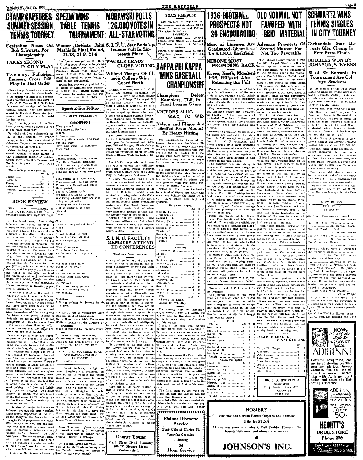

THE EGYPTLAN

Page 3

Dr. Thomas Barton addressed m n ren terror" exactly like these bors of the Murphysboro Rotary Click have followed the World War. Inst Tuesday evening on "Misuse In fact, as Mr. Adams indicates in Lamba the Creative Centrality."

Wednesday, July 29, 1936

 $\frac{1}{e}$ Carbondale, Ill.

First Class Hand Laundry<br>200 W. Monroe Street

 $24$ Hour Service

JOHNSON'S INC.

SAVE with SAFETY at<br>Cexall DRUG STORE